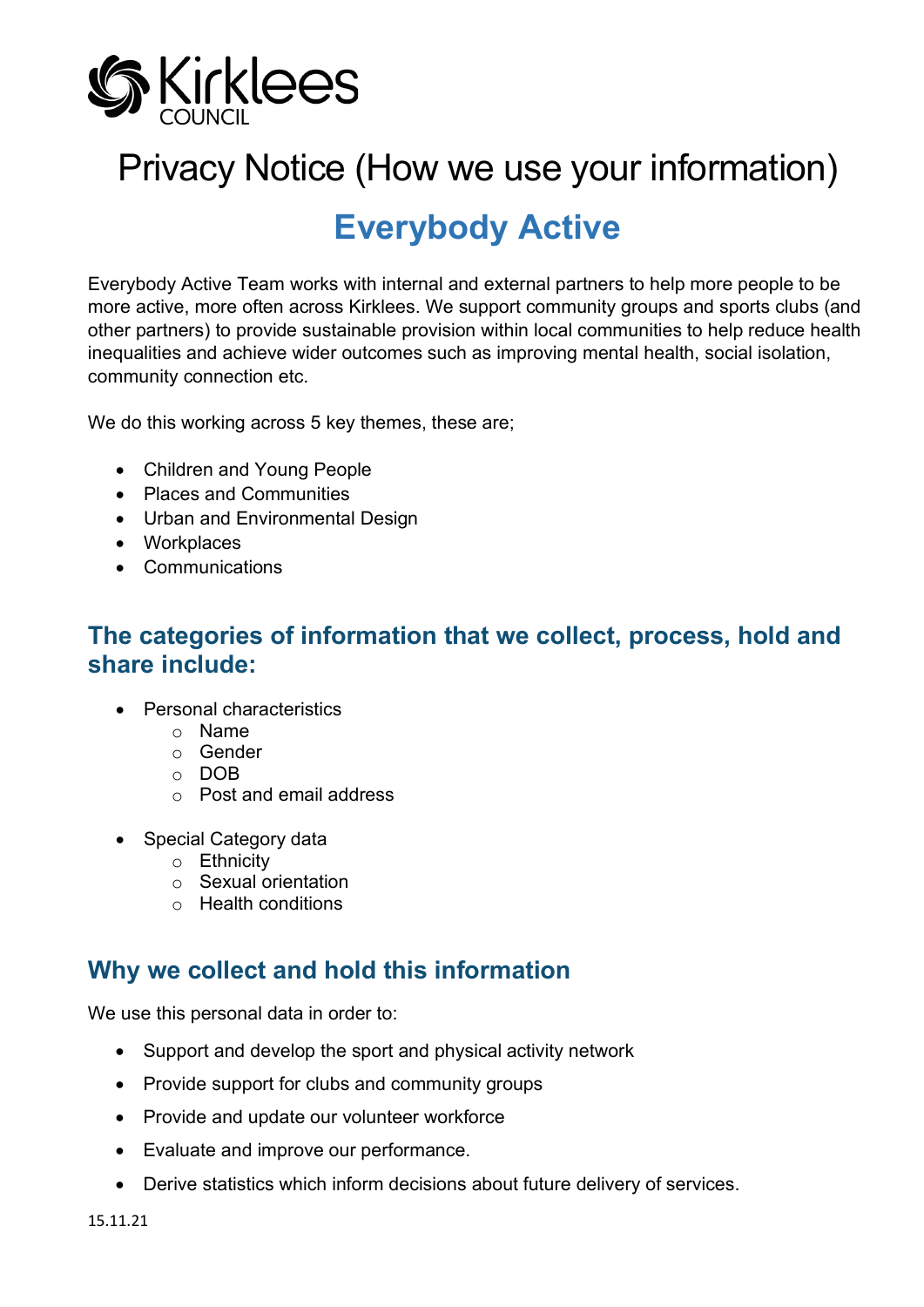

# Privacy Notice (How we use your information)

# **Everybody Active**

Everybody Active Team works with internal and external partners to help more people to be more active, more often across Kirklees. We support community groups and sports clubs (and other partners) to provide sustainable provision within local communities to help reduce health inequalities and achieve wider outcomes such as improving mental health, social isolation, community connection etc.

We do this working across 5 key themes, these are;

- Children and Young People
- Places and Communities
- Urban and Environmental Design
- Workplaces
- Communications

#### **The categories of information that we collect, process, hold and share include:**

- Personal characteristics
	- o Name
	- o Gender
	- o DOB
	- o Post and email address
- Special Category data
	- o Ethnicity
	- o Sexual orientation
	- o Health conditions

# **Why we collect and hold this information**

We use this personal data in order to:

- Support and develop the sport and physical activity network
- Provide support for clubs and community groups
- Provide and update our volunteer workforce
- Evaluate and improve our performance.
- Derive statistics which inform decisions about future delivery of services.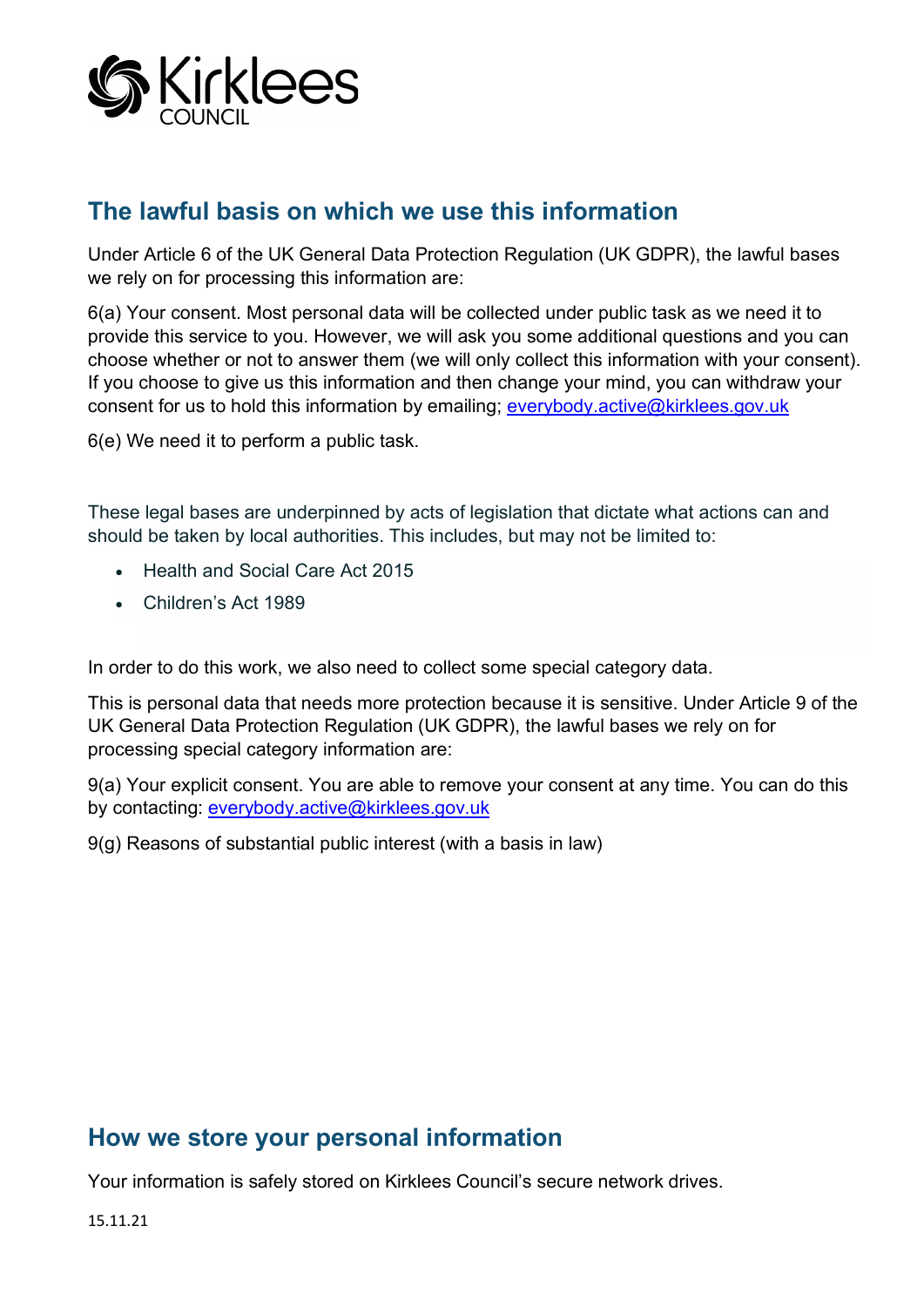

# **The lawful basis on which we use this information**

Under Article 6 of the UK General Data Protection Regulation (UK GDPR), the lawful bases we rely on for processing this information are:

6(a) Your consent. Most personal data will be collected under public task as we need it to provide this service to you. However, we will ask you some additional questions and you can choose whether or not to answer them (we will only collect this information with your consent). If you choose to give us this information and then change your mind, you can withdraw your consent for us to hold this information by emailing; everybody.active@kirklees.gov.uk

6(e) We need it to perform a public task.

These legal bases are underpinned by acts of legislation that dictate what actions can and should be taken by local authorities. This includes, but may not be limited to:

- Health and Social Care Act 2015
- Children's Act 1989

In order to do this work, we also need to collect some special category data.

This is personal data that needs more protection because it is sensitive. Under Article 9 of the UK General Data Protection Regulation (UK GDPR), the lawful bases we rely on for processing special category information are:

9(a) Your explicit consent. You are able to remove your consent at any time. You can do this by contacting: [everybody.active@kirklees.gov.uk](mailto:everybody.active@kirklees.gov.uk)

9(g) Reasons of substantial public interest (with a basis in law)

# **How we store your personal information**

Your information is safely stored on Kirklees Council's secure network drives.

15.11.21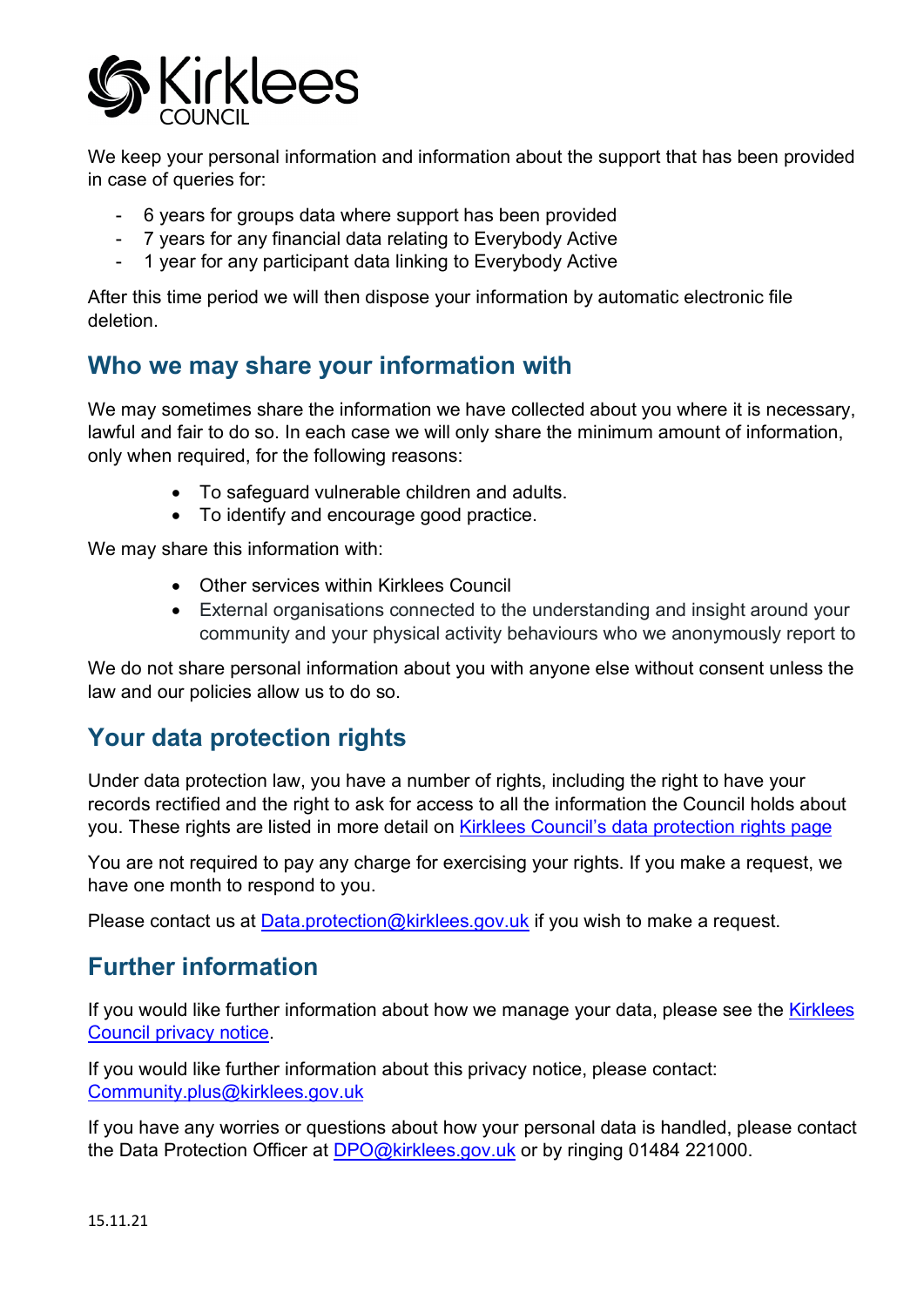

We keep your personal information and information about the support that has been provided in case of queries for:

- 6 years for groups data where support has been provided
- 7 years for any financial data relating to Everybody Active
- 1 year for any participant data linking to Everybody Active

After this time period we will then dispose your information by automatic electronic file deletion.

# **Who we may share your information with**

We may sometimes share the information we have collected about you where it is necessary, lawful and fair to do so. In each case we will only share the minimum amount of information, only when required, for the following reasons:

- To safeguard vulnerable children and adults.
- To identify and encourage good practice.

We may share this information with:

- Other services within Kirklees Council
- External organisations connected to the understanding and insight around your community and your physical activity behaviours who we anonymously report to

We do not share personal information about you with anyone else without consent unless the law and our policies allow us to do so.

# **Your data protection rights**

Under data protection law, you have a number of rights, including the right to have your records rectified and the right to ask for access to all the information the Council holds about you. These rights are listed in more detail on [Kirklees Council's data protection rights page](https://www.kirklees.gov.uk/beta/information-and-data/general-data-protection-regulation.aspx)

You are not required to pay any charge for exercising your rights. If you make a request, we have one month to respond to you.

Please contact us at [Data.protection@kirklees.gov.uk](mailto:Data.protection@kirklees.gov.uk) if you wish to make a request.

# **Further information**

If you would like further information about how we manage your data, please see the Kirklees [Council privacy notice.](https://www.kirklees.gov.uk/beta/information-and-data/how-we-use-your-data.aspx)

If you would like further information about this privacy notice, please contact: [Community.plus@kirklees.gov.uk](mailto:Community.plus@kirklees.gov.uk)

If you have any worries or questions about how your personal data is handled, please contact the Data Protection Officer at [DPO@kirklees.gov.uk](mailto:DPO@kirklees.gov.uk) or by ringing 01484 221000.